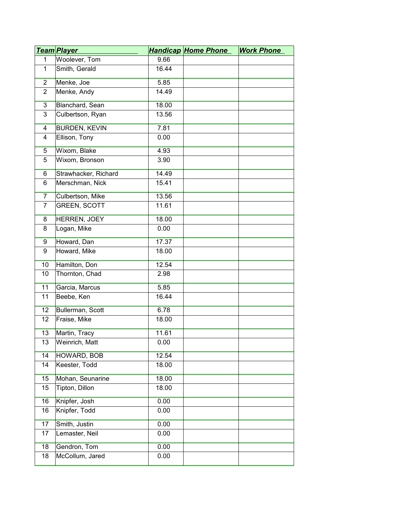|                | <u>Team Player</u>   |       | <b>Handicap Home Phone</b> | <b>Work Phone</b> |
|----------------|----------------------|-------|----------------------------|-------------------|
| $\mathbf{1}$   | Woolever, Tom        | 9.66  |                            |                   |
| $\mathbf{1}$   | Smith, Gerald        | 16.44 |                            |                   |
| $\overline{2}$ | Menke, Joe           | 5.85  |                            |                   |
| $\overline{2}$ | Menke, Andy          | 14.49 |                            |                   |
| $\overline{3}$ | Blanchard, Sean      | 18.00 |                            |                   |
| 3              | Culbertson, Ryan     | 13.56 |                            |                   |
| 4              | <b>BURDEN, KEVIN</b> | 7.81  |                            |                   |
| $\overline{4}$ | Ellison, Tony        | 0.00  |                            |                   |
| $\overline{5}$ | Wixom, Blake         | 4.93  |                            |                   |
| 5              | Wixom, Bronson       | 3.90  |                            |                   |
| 6              | Strawhacker, Richard | 14.49 |                            |                   |
| 6              | Merschman, Nick      | 15.41 |                            |                   |
| $\overline{7}$ | Culbertson, Mike     | 13.56 |                            |                   |
| $\overline{7}$ | <b>GREEN, SCOTT</b>  | 11.61 |                            |                   |
| 8              | HERREN, JOEY         | 18.00 |                            |                   |
| 8              | Logan, Mike          | 0.00  |                            |                   |
| 9              | Howard, Dan          | 17.37 |                            |                   |
| 9              | Howard, Mike         | 18.00 |                            |                   |
| 10             | Hamilton, Don        | 12.54 |                            |                   |
| 10             | Thornton, Chad       | 2.98  |                            |                   |
| 11             | Garcia, Marcus       | 5.85  |                            |                   |
| 11             | Beebe, Ken           | 16.44 |                            |                   |
| 12             | Bullerman, Scott     | 6.78  |                            |                   |
| 12             | Fraise, Mike         | 18.00 |                            |                   |
| 13             | Martin, Tracy        | 11.61 |                            |                   |
| 13             | Weinrich, Matt       | 0.00  |                            |                   |
| 14             | HOWARD, BOB          | 12.54 |                            |                   |
| 14             | Keester, Todd        | 18.00 |                            |                   |
| 15             | Mohan, Seunarine     | 18.00 |                            |                   |
| 15             | Tipton, Dillon       | 18.00 |                            |                   |
| 16             | Knipfer, Josh        | 0.00  |                            |                   |
| 16             | Knipfer, Todd        | 0.00  |                            |                   |
| 17             | Smith, Justin        | 0.00  |                            |                   |
| 17             | Lemaster, Neil       | 0.00  |                            |                   |
| 18             | Gendron, Tom         | 0.00  |                            |                   |
| 18             | McCollum, Jared      | 0.00  |                            |                   |